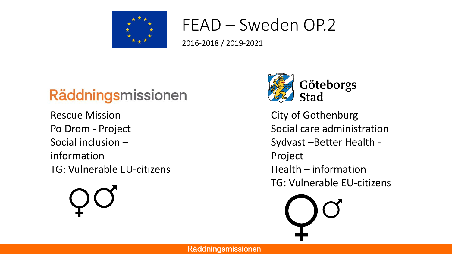

#### FEAD – Sweden OP.2

2016-2018 / 2019-2021

#### Räddningsmissionen

Rescue Mission Po Drom - Project Social inclusion – information TG: Vulnerable EU-citizens



City of Gothenburg Social care administration Sydvast –Better Health - Project Health – information TG: Vulnerable EU-citizens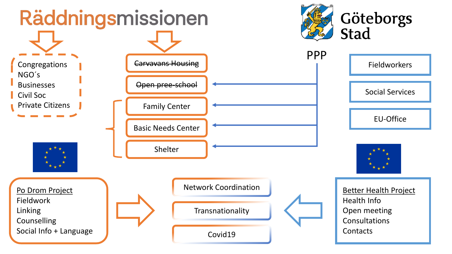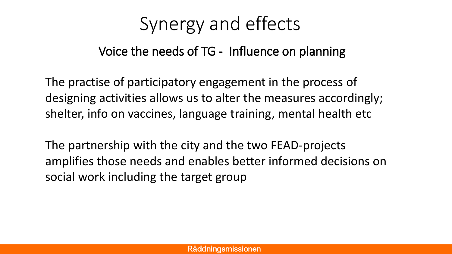### Synergy and effects

#### Voice the needs of TG - Influence on planning

The practise of participatory engagement in the process of designing activities allows us to alter the measures accordingly; shelter, info on vaccines, language training, mental health etc

The partnership with the city and the two FEAD-projects amplifies those needs and enables better informed decisions on social work including the target group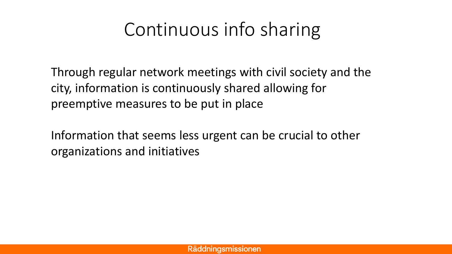## Continuous info sharing

Through regular network meetings with civil society and the city, information is continuously shared allowing for preemptive measures to be put in place

Information that seems less urgent can be crucial to other organizations and initiatives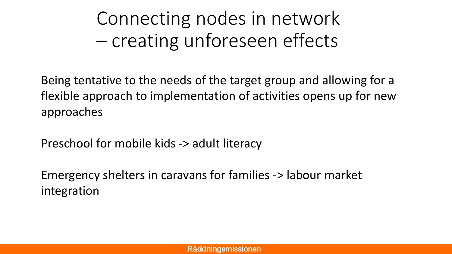Connecting nodes in network – creating unforeseen effects

Being tentative to the needs of the target group and allowing for a flexible approach to implementation of activities opens up for new approaches

Preschool for mobile kids -> adult literacy

Emergency shelters in caravans for families -> labour market integration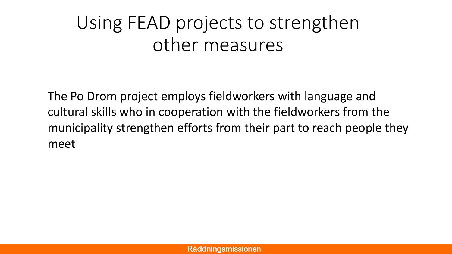## Using FEAD projects to strengthen other measures

The Po Drom project employs fieldworkers with language and cultural skills who in cooperation with the fieldworkers from the municipality strengthen efforts from their part to reach people they meet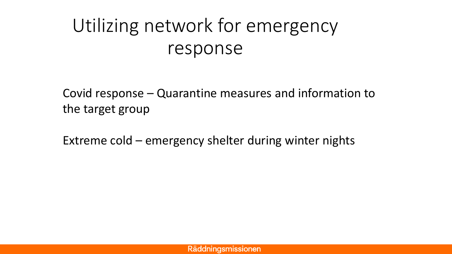# Utilizing network for emergency response

Covid response – Quarantine measures and information to the target group

Extreme cold – emergency shelter during winter nights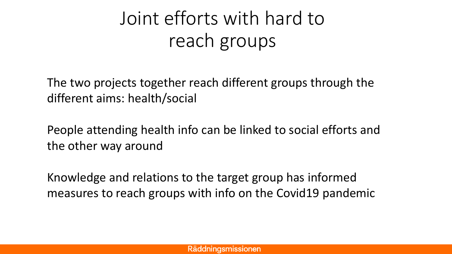# Joint efforts with hard to reach groups

The two projects together reach different groups through the different aims: health/social

People attending health info can be linked to social efforts and the other way around

Knowledge and relations to the target group has informed measures to reach groups with info on the Covid19 pandemic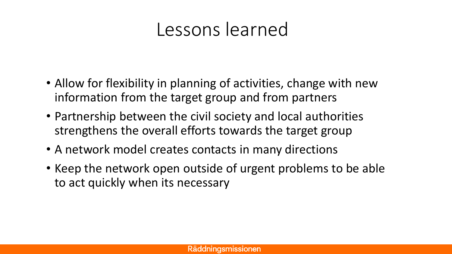#### Lessons learned

- Allow for flexibility in planning of activities, change with new information from the target group and from partners
- Partnership between the civil society and local authorities strengthens the overall efforts towards the target group
- A network model creates contacts in many directions
- Keep the network open outside of urgent problems to be able to act quickly when its necessary